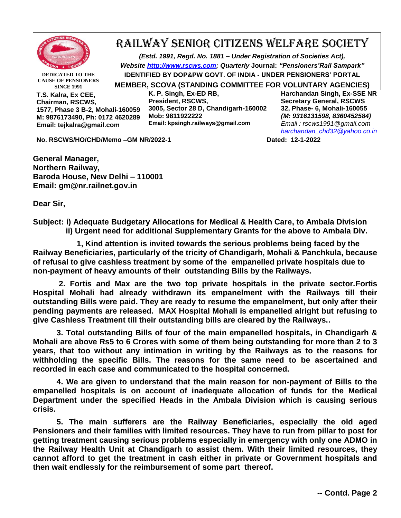

## RAILWAY SENIOR CITIZENS WELFARE SOCIETY

*(Estd. 1991, Regd. No. 1881 – Under Registration of Societies Act), Website [http://www.rscws.com;](http://www.rscws.com/) Quarterly* **Journal:** *"Pensioners'Rail Sampark"* **IDENTIFIED BY DOP&PW GOVT. OF INDIA - UNDER PENSIONERS' PORTAL MEMBER, SCOVA (STANDING COMMITTEE FOR VOLUNTARY AGENCIES)**

**DEDICATED TO THE CAUSE OF PENSIONERS SINCE 1991**

**T.S. Kalra, Ex CEE, Chairman, RSCWS, 1577, Phase 3 B-2, Mohali-160059 M: 9876173490, Ph: 0172 4620289 Email: tejkalra@gmail.com**

**K. P. Singh, Ex-ED RB, President, RSCWS, 3005, Sector 28 D, Chandigarh-160002 Mob: 9811922222 Email: kpsingh.railways@gmail.com**

**Harchandan Singh, Ex-SSE NR Secretary General, RSCWS 32, Phase- 6, Mohali-160055** *(M: 9316131598, 8360452584) Email : rscws1991@gmail.com [harchandan\\_chd32@yahoo.co.in](mailto:harchandan_chd32@yahoo.co.in)*

**No. RSCWS/HO/CHD/Memo –GM NR/2022-1 Dated: 12-1-2022**

**General Manager, Northern Railway, Baroda House, New Delhi – 110001 Email: gm@nr.railnet.gov.in**

**Dear Sir,**

**Subject: i) Adequate Budgetary Allocations for Medical & Health Care, to Ambala Division ii) Urgent need for additional Supplementary Grants for the above to Ambala Div.**

 **1, Kind attention is invited towards the serious problems being faced by the Railway Beneficiaries, particularly of the tricity of Chandigarh, Mohali & Panchkula, because of refusal to give cashless treatment by some of the empanelled private hospitals due to non-payment of heavy amounts of their outstanding Bills by the Railways.** 

**2. Fortis and Max are the two top private hospitals in the private sector.Fortis Hospital Mohali had already withdrawn its empanelment with the Railways till their outstanding Bills were paid. They are ready to resume the empanelment, but only after their pending payments are released. MAX Hospital Mohali is empanelled alright but refusing to give Cashless Treatment till their outstanding bills are cleared by the Railways..** 

**3. Total outstanding Bills of four of the main empanelled hospitals, in Chandigarh & Mohali are above Rs5 to 6 Crores with some of them being outstanding for more than 2 to 3 years, that too without any intimation in writing by the Railways as to the reasons for withholding the specific Bills. The reasons for the same need to be ascertained and recorded in each case and communicated to the hospital concerned.**

**4. We are given to understand that the main reason for non-payment of Bills to the empanelled hospitals is on account of inadequate allocation of funds for the Medical Department under the specified Heads in the Ambala Division which is causing serious crisis.**

**5. The main sufferers are the Railway Beneficiaries, especially the old aged Pensioners and their families with limited resources. They have to run from pillar to post for getting treatment causing serious problems especially in emergency with only one ADMO in the Railway Health Unit at Chandigarh to assist them. With their limited resources, they cannot afford to get the treatment in cash either in private or Government hospitals and then wait endlessly for the reimbursement of some part thereof.**